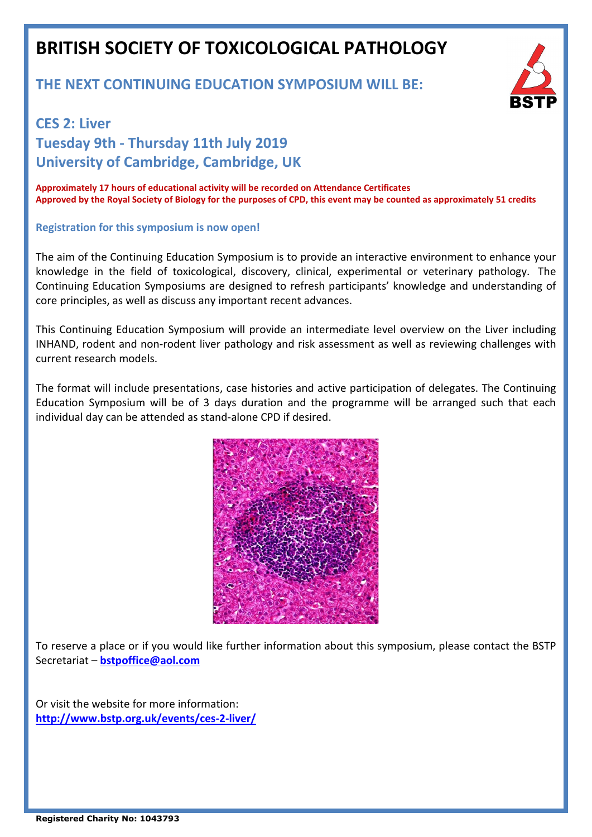# **BRITISH SOCIETY OF TOXICOLOGICAL PATHOLOGY**

### **THE NEXT CONTINUING EDUCATION SYMPOSIUM WILL BE:**



# **CES 2: Liver Tuesday 9th - Thursday 11th July 2019 University of Cambridge, Cambridge, UK**

**Approximately 17 hours of educational activity will be recorded on Attendance Certificates Approved by the Royal Society of Biology for the purposes of CPD, this event may be counted as approximately 51 credits**

#### **Registration for this symposium is now open!**

The aim of the Continuing Education Symposium is to provide an interactive environment to enhance your knowledge in the field of toxicological, discovery, clinical, experimental or veterinary pathology. The Continuing Education Symposiums are designed to refresh participants' knowledge and understanding of core principles, as well as discuss any important recent advances.

This Continuing Education Symposium will provide an intermediate level overview on the Liver including INHAND, rodent and non-rodent liver pathology and risk assessment as well as reviewing challenges with current research models.

The format will include presentations, case histories and active participation of delegates. The Continuing Education Symposium will be of 3 days duration and the programme will be arranged such that each individual day can be attended as stand-alone CPD if desired.



To reserve a place or if you would like further information about this symposium, please contact the BSTP Secretariat – **[bstpoffice@aol.com](mailto:bstpoffice@aol.com)**

Or visit the website for more information: **<http://www.bstp.org.uk/events/ces-2-liver/>**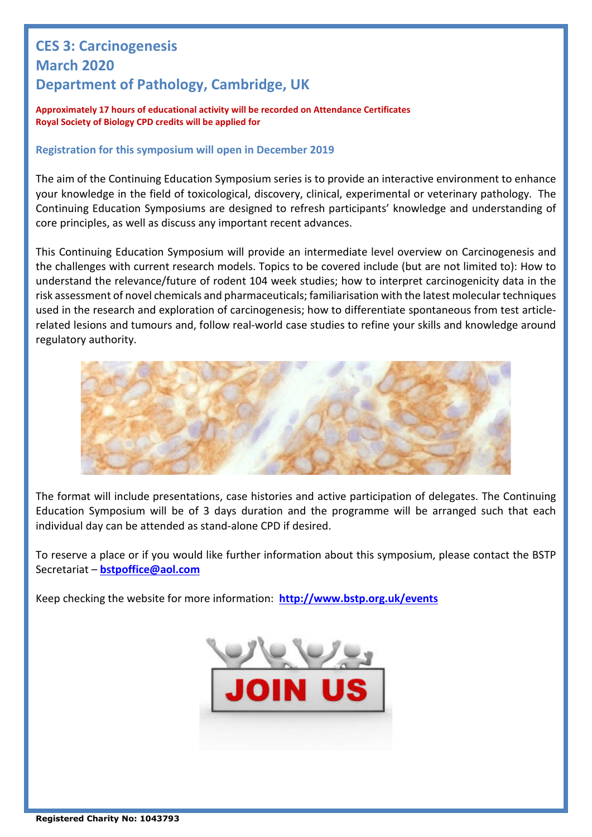## **CES 3: Carcinogenesis March 2020 Department of Pathology, Cambridge, UK**

**Approximately 17 hours of educational activity will be recorded on Attendance Certificates Royal Society of Biology CPD credits will be applied for**

### **Registration for this symposium will open in December 2019**

The aim of the Continuing Education Symposium series is to provide an interactive environment to enhance your knowledge in the field of toxicological, discovery, clinical, experimental or veterinary pathology. The Continuing Education Symposiums are designed to refresh participants' knowledge and understanding of core principles, as well as discuss any important recent advances.

This Continuing Education Symposium will provide an intermediate level overview on Carcinogenesis and the challenges with current research models. Topics to be covered include (but are not limited to): How to understand the relevance/future of rodent 104 week studies; how to interpret carcinogenicity data in the risk assessment of novel chemicals and pharmaceuticals; familiarisation with the latest molecular techniques used in the research and exploration of carcinogenesis; how to differentiate spontaneous from test articlerelated lesions and tumours and, follow real-world case studies to refine your skills and knowledge around regulatory authority.



The format will include presentations, case histories and active participation of delegates. The Continuing Education Symposium will be of 3 days duration and the programme will be arranged such that each individual day can be attended as stand-alone CPD if desired.

To reserve a place or if you would like further information about this symposium, please contact the BSTP Secretariat – **[bstpoffice@aol.com](mailto:bstpoffice@aol.com)**

Keep checking the website for more information: **<http://www.bstp.org.uk/events>**